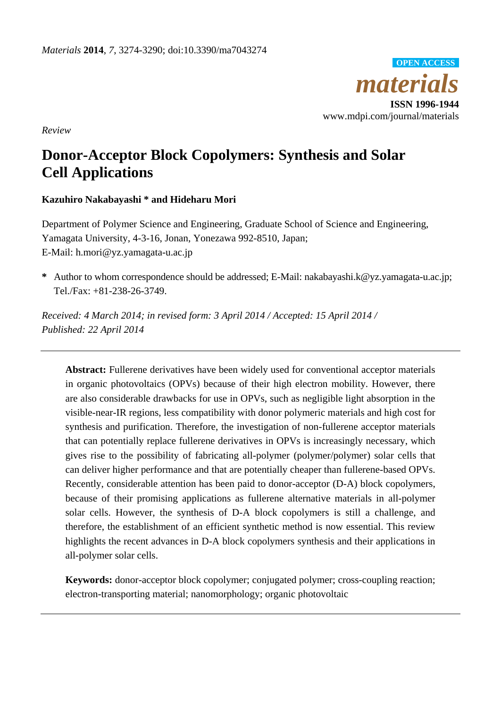

*Review*

# **Donor-Acceptor Block Copolymers: Synthesis and Solar Cell Applications**

# **Kazuhiro Nakabayashi \* and Hideharu Mori**

Department of Polymer Science and Engineering, Graduate School of Science and Engineering, Yamagata University, 4-3-16, Jonan, Yonezawa 992-8510, Japan; E-Mail: h.mori@yz.yamagata-u.ac.jp

**\*** Author to whom correspondence should be addressed; E-Mail: nakabayashi.k@yz.yamagata-u.ac.jp; Tel./Fax: +81-238-26-3749.

*Received: 4 March 2014; in revised form: 3 April 2014 / Accepted: 15 April 2014 / Published: 22 April 2014*

**Abstract:** Fullerene derivatives have been widely used for conventional acceptor materials in organic photovoltaics (OPVs) because of their high electron mobility. However, there are also considerable drawbacks for use in OPVs, such as negligible light absorption in the visible-near-IR regions, less compatibility with donor polymeric materials and high cost for synthesis and purification. Therefore, the investigation of non-fullerene acceptor materials that can potentially replace fullerene derivatives in OPVs is increasingly necessary, which gives rise to the possibility of fabricating all-polymer (polymer/polymer) solar cells that can deliver higher performance and that are potentially cheaper than fullerene-based OPVs. Recently, considerable attention has been paid to donor-acceptor (D-A) block copolymers, because of their promising applications as fullerene alternative materials in all-polymer solar cells. However, the synthesis of D-A block copolymers is still a challenge, and therefore, the establishment of an efficient synthetic method is now essential. This review highlights the recent advances in D-A block copolymers synthesis and their applications in all-polymer solar cells.

**Keywords:** donor-acceptor block copolymer; conjugated polymer; cross-coupling reaction; electron-transporting material; nanomorphology; organic photovoltaic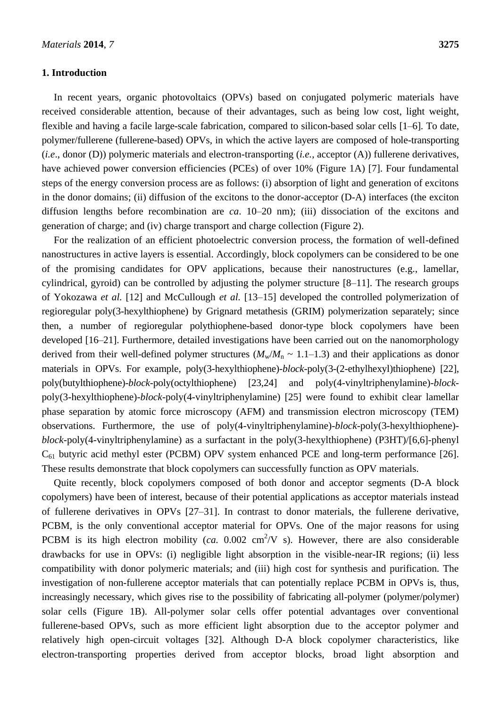## **1. Introduction**

In recent years, organic photovoltaics (OPVs) based on conjugated polymeric materials have received considerable attention, because of their advantages, such as being low cost, light weight, flexible and having a facile large-scale fabrication, compared to silicon-based solar cells [1–6]. To date, polymer/fullerene (fullerene-based) OPVs, in which the active layers are composed of hole-transporting (*i.e*., donor (D)) polymeric materials and electron-transporting (*i.e.*, acceptor (A)) fullerene derivatives, have achieved power conversion efficiencies (PCEs) of over 10% (Figure 1A) [7]. Four fundamental steps of the energy conversion process are as follows: (i) absorption of light and generation of excitons in the donor domains; (ii) diffusion of the excitons to the donor-acceptor (D-A) interfaces (the exciton diffusion lengths before recombination are *ca*. 10–20 nm); (iii) dissociation of the excitons and generation of charge; and (iv) charge transport and charge collection (Figure 2).

For the realization of an efficient photoelectric conversion process, the formation of well-defined nanostructures in active layers is essential. Accordingly, block copolymers can be considered to be one of the promising candidates for OPV applications, because their nanostructures (e.g., lamellar, cylindrical, gyroid) can be controlled by adjusting the polymer structure [8–11]. The research groups of Yokozawa *et al.* [12] and McCullough *et al.* [13–15] developed the controlled polymerization of regioregular poly(3-hexylthiophene) by Grignard metathesis (GRIM) polymerization separately; since then, a number of regioregular polythiophene-based donor-type block copolymers have been developed [16–21]. Furthermore, detailed investigations have been carried out on the nanomorphology derived from their well-defined polymer structures  $(M_w/M_n \sim 1.1-1.3)$  and their applications as donor materials in OPVs. For example, poly(3-hexylthiophene)-*block*-poly(3-(2-ethylhexyl)thiophene) [22], poly(butylthiophene)-*block*-poly(octylthiophene) [23,24] and poly(4-vinyltriphenylamine)-*block*poly(3-hexylthiophene)-*block*-poly(4-vinyltriphenylamine) [25] were found to exhibit clear lamellar phase separation by atomic force microscopy (AFM) and transmission electron microscopy (TEM) observations. Furthermore, the use of poly(4-vinyltriphenylamine)-*block*-poly(3-hexylthiophene) *block*-poly(4-vinyltriphenylamine) as a surfactant in the poly(3-hexylthiophene) (P3HT)/[6,6]-phenyl  $C_{61}$  butyric acid methyl ester (PCBM) OPV system enhanced PCE and long-term performance [26]. These results demonstrate that block copolymers can successfully function as OPV materials.

Quite recently, block copolymers composed of both donor and acceptor segments (D-A block copolymers) have been of interest, because of their potential applications as acceptor materials instead of fullerene derivatives in OPVs [27–31]. In contrast to donor materials, the fullerene derivative, PCBM, is the only conventional acceptor material for OPVs. One of the major reasons for using PCBM is its high electron mobility (*ca.* 0.002 cm<sup>2</sup>/V s). However, there are also considerable drawbacks for use in OPVs: (i) negligible light absorption in the visible-near-IR regions; (ii) less compatibility with donor polymeric materials; and (iii) high cost for synthesis and purification. The investigation of non-fullerene acceptor materials that can potentially replace PCBM in OPVs is, thus, increasingly necessary, which gives rise to the possibility of fabricating all-polymer (polymer/polymer) solar cells (Figure 1B). All-polymer solar cells offer potential advantages over conventional fullerene-based OPVs, such as more efficient light absorption due to the acceptor polymer and relatively high open-circuit voltages [32]. Although D-A block copolymer characteristics, like electron-transporting properties derived from acceptor blocks, broad light absorption and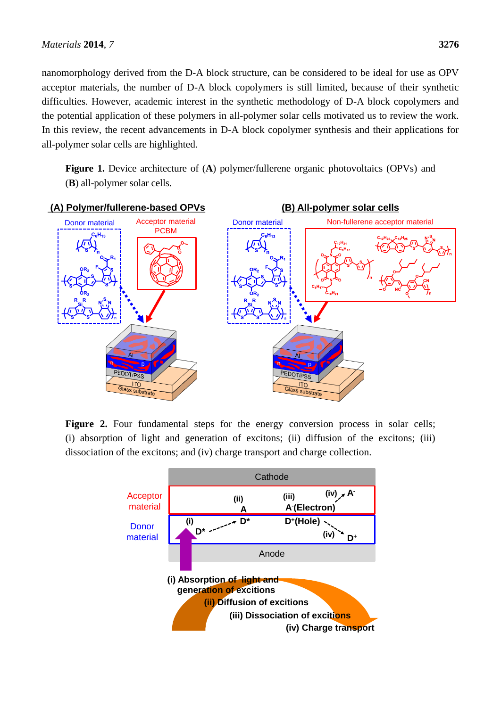nanomorphology derived from the D-A block structure, can be considered to be ideal for use as OPV acceptor materials, the number of D-A block copolymers is still limited, because of their synthetic difficulties. However, academic interest in the synthetic methodology of D-A block copolymers and the potential application of these polymers in all-polymer solar cells motivated us to review the work. In this review, the recent advancements in D-A block copolymer synthesis and their applications for all-polymer solar cells are highlighted.

**Figure 1.** Device architecture of (**A**) polymer/fullerene organic photovoltaics (OPVs) and (**B**) all-polymer solar cells.



Figure 2. Four fundamental steps for the energy conversion process in solar cells; (i) absorption of light and generation of excitons; (ii) diffusion of the excitons; (iii) dissociation of the excitons; and (iv) charge transport and charge collection.

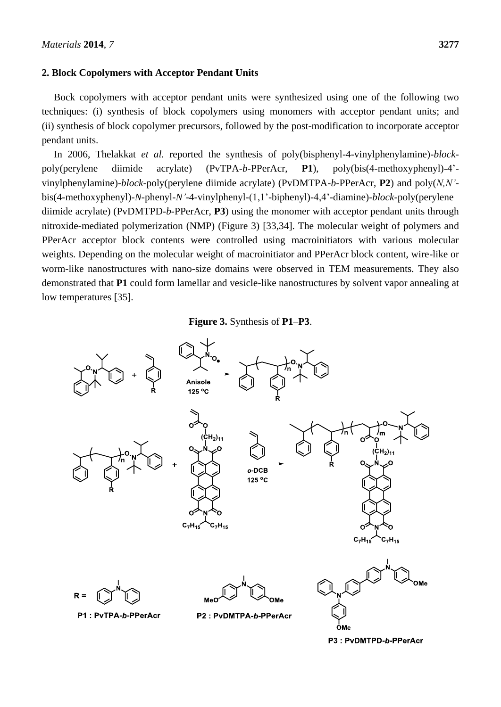## **2. Block Copolymers with Acceptor Pendant Units**

Bock copolymers with acceptor pendant units were synthesized using one of the following two techniques: (i) synthesis of block copolymers using monomers with acceptor pendant units; and (ii) synthesis of block copolymer precursors, followed by the post-modification to incorporate acceptor pendant units.

In 2006, Thelakkat *et al.* reported the synthesis of poly(bisphenyl-4-vinylphenylamine)-*block*poly(perylene diimide acrylate) (PvTPA-*b*-PPerAcr, **P1**), poly(bis(4-methoxyphenyl)-4' vinylphenylamine)-*block*-poly(perylene diimide acrylate) (PvDMTPA-*b*-PPerAcr, **P2**) and poly(*N,N'* bis(4-methoxyphenyl)-*N*-phenyl-*N'*-4-vinylphenyl-(1,1'-biphenyl)-4,4'-diamine)-*block*-poly(perylene diimide acrylate) (PvDMTPD-*b*-PPerAcr, **P3**) using the monomer with acceptor pendant units through nitroxide-mediated polymerization (NMP) (Figure 3) [33,34]. The molecular weight of polymers and PPerAcr acceptor block contents were controlled using macroinitiators with various molecular weights. Depending on the molecular weight of macroinitiator and PPerAcr block content, wire-like or worm-like nanostructures with nano-size domains were observed in TEM measurements. They also demonstrated that **P1** could form lamellar and vesicle-like nanostructures by solvent vapor annealing at low temperatures [35].



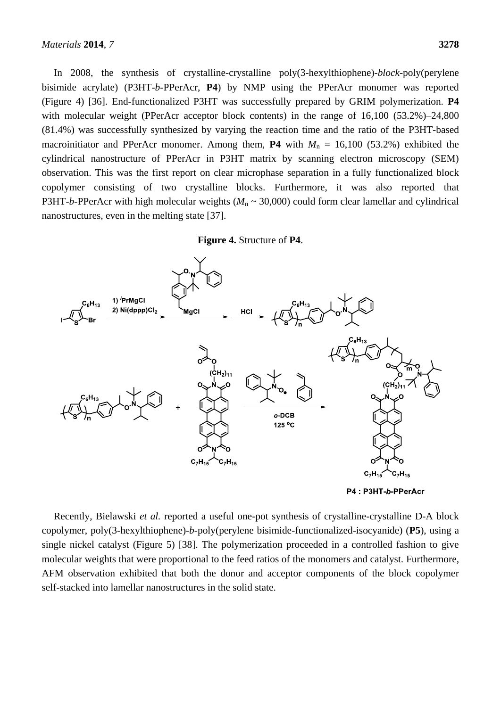In 2008, the synthesis of crystalline-crystalline poly(3-hexylthiophene)-*block*-poly(perylene bisimide acrylate) (P3HT-*b*-PPerAcr, **P4**) by NMP using the PPerAcr monomer was reported (Figure 4) [36]. End-functionalized P3HT was successfully prepared by GRIM polymerization. **P4** with molecular weight (PPerAcr acceptor block contents) in the range of 16,100 (53.2%)–24,800 (81.4%) was successfully synthesized by varying the reaction time and the ratio of the P3HT-based macroinitiator and PPerAcr monomer. Among them, **P4** with  $M_n = 16,100$  (53.2%) exhibited the cylindrical nanostructure of PPerAcr in P3HT matrix by scanning electron microscopy (SEM) observation. This was the first report on clear microphase separation in a fully functionalized block copolymer consisting of two crystalline blocks. Furthermore, it was also reported that P3HT-*b*-PPerAcr with high molecular weights ( $M_n \sim 30,000$ ) could form clear lamellar and cylindrical nanostructures, even in the melting state [37].

# **Figure 4.** Structure of **P4**.



Recently, Bielawski *et al.* reported a useful one-pot synthesis of crystalline-crystalline D-A block copolymer, poly(3-hexylthiophene)-*b*-poly(perylene bisimide-functionalized-isocyanide) (**P5**), using a single nickel catalyst (Figure 5) [38]. The polymerization proceeded in a controlled fashion to give molecular weights that were proportional to the feed ratios of the monomers and catalyst. Furthermore, AFM observation exhibited that both the donor and acceptor components of the block copolymer self-stacked into lamellar nanostructures in the solid state.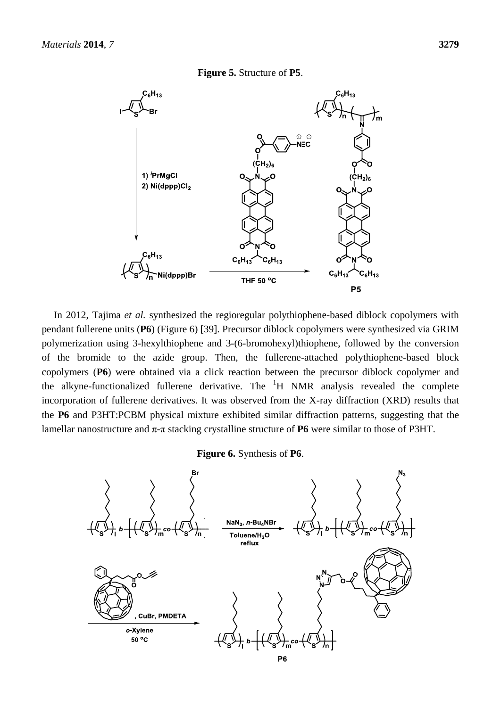#### **Figure 5.** Structure of **P5**.



In 2012, Tajima *et al.* synthesized the regioregular polythiophene-based diblock copolymers with pendant fullerene units (**P6**) (Figure 6) [39]. Precursor diblock copolymers were synthesized via GRIM polymerization using 3-hexylthiophene and 3-(6-bromohexyl)thiophene, followed by the conversion of the bromide to the azide group. Then, the fullerene-attached polythiophene-based block copolymers (**P6**) were obtained via a click reaction between the precursor diblock copolymer and the alkyne-functionalized fullerene derivative. The  ${}^{1}H$  NMR analysis revealed the complete incorporation of fullerene derivatives. It was observed from the X-ray diffraction (XRD) results that the **P6** and P3HT:PCBM physical mixture exhibited similar diffraction patterns, suggesting that the lamellar nanostructure and π-π stacking crystalline structure of **P6** were similar to those of P3HT.

**Figure 6.** Synthesis of **P6**.

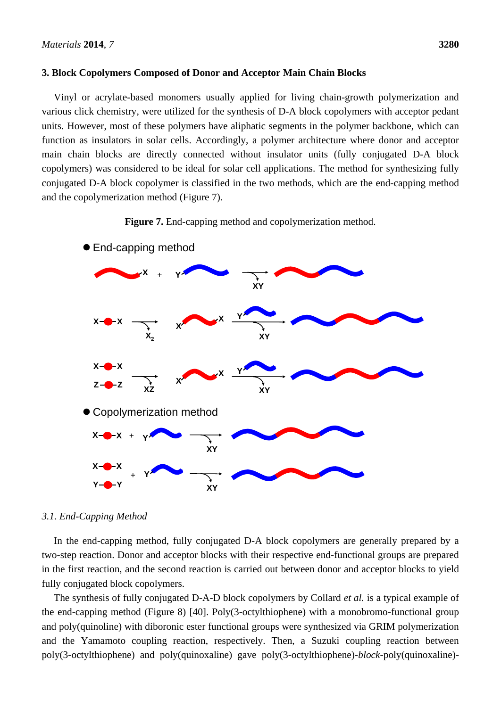## **3. Block Copolymers Composed of Donor and Acceptor Main Chain Blocks**

Vinyl or acrylate-based monomers usually applied for living chain-growth polymerization and various click chemistry, were utilized for the synthesis of D-A block copolymers with acceptor pedant units. However, most of these polymers have aliphatic segments in the polymer backbone, which can function as insulators in solar cells. Accordingly, a polymer architecture where donor and acceptor main chain blocks are directly connected without insulator units (fully conjugated D-A block copolymers) was considered to be ideal for solar cell applications. The method for synthesizing fully conjugated D-A block copolymer is classified in the two methods, which are the end-capping method and the copolymerization method (Figure 7).







## *3.1. End-Capping Method*

In the end-capping method, fully conjugated D-A block copolymers are generally prepared by a two-step reaction. Donor and acceptor blocks with their respective end-functional groups are prepared in the first reaction, and the second reaction is carried out between donor and acceptor blocks to yield fully conjugated block copolymers.

The synthesis of fully conjugated D-A-D block copolymers by Collard *et al.* is a typical example of the end-capping method (Figure 8) [40]. Poly(3-octylthiophene) with a monobromo-functional group and poly(quinoline) with diboronic ester functional groups were synthesized via GRIM polymerization and the Yamamoto coupling reaction, respectively. Then, a Suzuki coupling reaction between poly(3-octylthiophene) and poly(quinoxaline) gave poly(3-octylthiophene)-*block*-poly(quinoxaline)-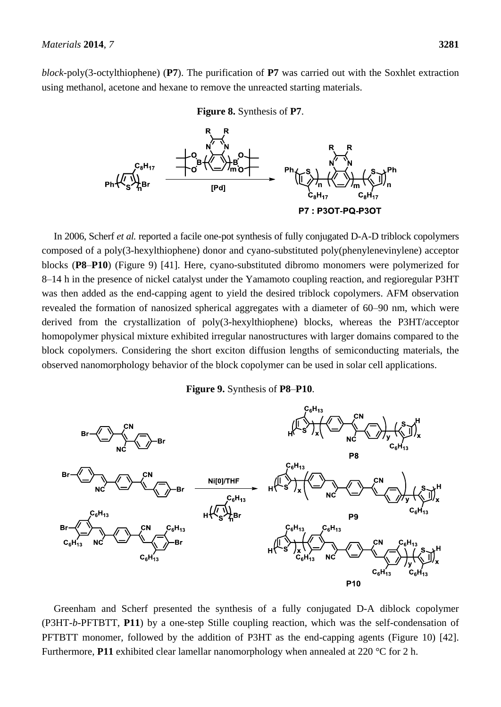*block*-poly(3-octylthiophene) (**P7**). The purification of **P7** was carried out with the Soxhlet extraction using methanol, acetone and hexane to remove the unreacted starting materials.





In 2006, Scherf *et al.* reported a facile one-pot synthesis of fully conjugated D-A-D triblock copolymers composed of a poly(3-hexylthiophene) donor and cyano-substituted poly(phenylenevinylene) acceptor blocks (**P8**–**P10**) (Figure 9) [41]. Here, cyano-substituted dibromo monomers were polymerized for 8–14 h in the presence of nickel catalyst under the Yamamoto coupling reaction, and regioregular P3HT was then added as the end-capping agent to yield the desired triblock copolymers. AFM observation revealed the formation of nanosized spherical aggregates with a diameter of 60–90 nm, which were derived from the crystallization of poly(3-hexylthiophene) blocks, whereas the P3HT/acceptor homopolymer physical mixture exhibited irregular nanostructures with larger domains compared to the block copolymers. Considering the short exciton diffusion lengths of semiconducting materials, the observed nanomorphology behavior of the block copolymer can be used in solar cell applications.

**Figure 9.** Synthesis of **P8**–**P10**.



Greenham and Scherf presented the synthesis of a fully conjugated D-A diblock copolymer (P3HT-*b*-PFTBTT, **P11**) by a one-step Stille coupling reaction, which was the self-condensation of PFTBTT monomer, followed by the addition of P3HT as the end-capping agents (Figure 10) [42]. Furthermore, **P11** exhibited clear lamellar nanomorphology when annealed at 220  $\mathbb{C}$  for 2 h.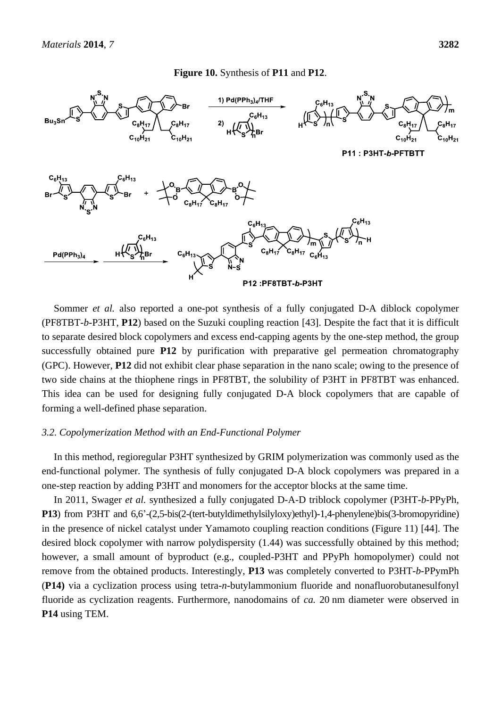#### **Figure 10.** Synthesis of **P11** and **P12**.



Sommer *et al.* also reported a one-pot synthesis of a fully conjugated D-A diblock copolymer (PF8TBT-*b*-P3HT, **P12**) based on the Suzuki coupling reaction [43]. Despite the fact that it is difficult to separate desired block copolymers and excess end-capping agents by the one-step method, the group successfully obtained pure **P12** by purification with preparative gel permeation chromatography (GPC). However, **P12** did not exhibit clear phase separation in the nano scale; owing to the presence of two side chains at the thiophene rings in PF8TBT, the solubility of P3HT in PF8TBT was enhanced. This idea can be used for designing fully conjugated D-A block copolymers that are capable of forming a well-defined phase separation.

#### *3.2. Copolymerization Method with an End-Functional Polymer*

In this method, regioregular P3HT synthesized by GRIM polymerization was commonly used as the end-functional polymer. The synthesis of fully conjugated D-A block copolymers was prepared in a one-step reaction by adding P3HT and monomers for the acceptor blocks at the same time.

In 2011, Swager *et al.* synthesized a fully conjugated D-A-D triblock copolymer (P3HT-*b*-PPyPh, **P13**) from P3HT and 6,6'-(2,5-bis(2-(tert-butyldimethylsilyloxy)ethyl)-1,4-phenylene)bis(3-bromopyridine) in the presence of nickel catalyst under Yamamoto coupling reaction conditions (Figure 11) [44]. The desired block copolymer with narrow polydispersity (1.44) was successfully obtained by this method; however, a small amount of byproduct (e.g., coupled-P3HT and PPyPh homopolymer) could not remove from the obtained products. Interestingly, **P13** was completely converted to P3HT-*b*-PPymPh (**P14)** via a cyclization process using tetra-*n*-butylammonium fluoride and nonafluorobutanesulfonyl fluoride as cyclization reagents. Furthermore, nanodomains of *ca.* 20 nm diameter were observed in **P14** using TEM.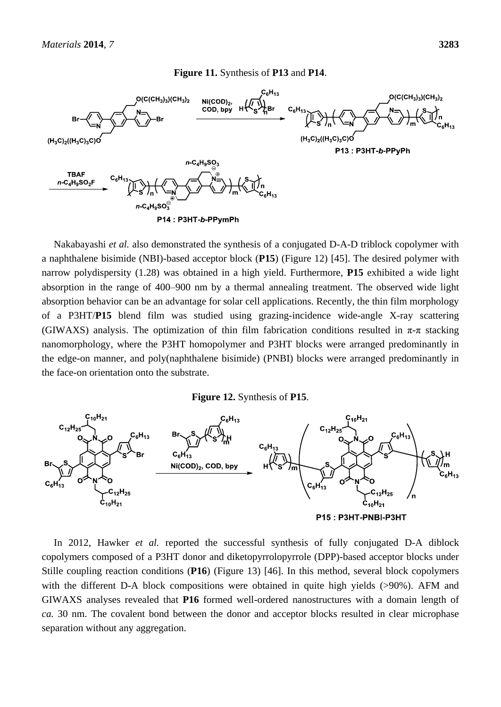#### $C_6H_{13}$  $O(CCH_3)_3(CH_3)_2$  $O(CCH_3)_3(CH_3)_2$  $Ni(COD)_{2}$ COD, bpy  $C_6H$ Br  $(H_3C)_2$ ( $(H_3C)_3C$ )O  $(H_3C)_2$ ((H<sub>3</sub>C)<sub>3</sub>C)O P13: P3HT-b-PPyPh  $n - C_4H_9SO_3$ **TBAF**  $n - C_4H_9SO_2F$  $n\text{-}\mathbf{C}_4\mathbf{H}_9\mathbf{SO}_3^\oplus$ P14: P3HT-b-PPymPh

**Figure 11.** Synthesis of **P13** and **P14**.

Nakabayashi *et al.* also demonstrated the synthesis of a conjugated D-A-D triblock copolymer with a naphthalene bisimide (NBI)-based acceptor block (**P15**) (Figure 12) [45]. The desired polymer with narrow polydispersity (1.28) was obtained in a high yield. Furthermore, **P15** exhibited a wide light absorption in the range of 400–900 nm by a thermal annealing treatment. The observed wide light absorption behavior can be an advantage for solar cell applications. Recently, the thin film morphology of a P3HT/**P15** blend film was studied using grazing-incidence wide-angle X-ray scattering (GIWAXS) analysis. The optimization of thin film fabrication conditions resulted in  $\pi$ - $\pi$  stacking nanomorphology, where the P3HT homopolymer and P3HT blocks were arranged predominantly in the edge-on manner, and poly(naphthalene bisimide) (PNBI) blocks were arranged predominantly in the face-on orientation onto the substrate.

#### **Figure 12.** Synthesis of **P15**.



In 2012, Hawker *et al.* reported the successful synthesis of fully conjugated D-A diblock copolymers composed of a P3HT donor and diketopyrrolopyrrole (DPP)-based acceptor blocks under Stille coupling reaction conditions (**P16**) (Figure 13) [46]. In this method, several block copolymers with the different D-A block compositions were obtained in quite high yields (>90%). AFM and GIWAXS analyses revealed that **P16** formed well-ordered nanostructures with a domain length of *ca.* 30 nm. The covalent bond between the donor and acceptor blocks resulted in clear microphase separation without any aggregation.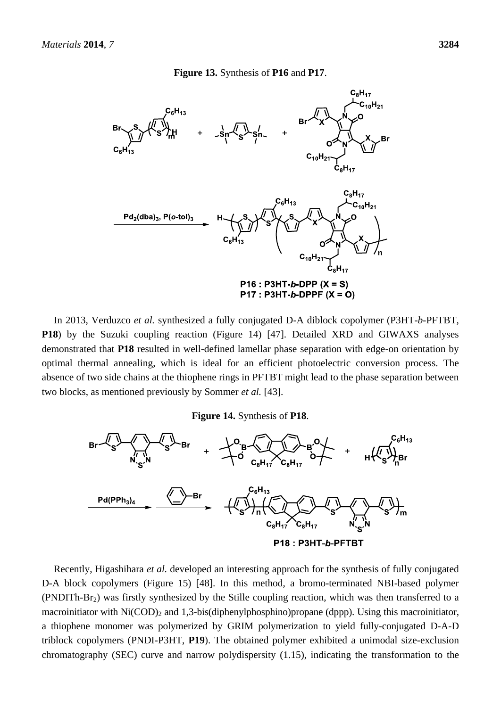#### **Figure 13.** Synthesis of **P16** and **P17**.



In 2013, Verduzco *et al.* synthesized a fully conjugated D-A diblock copolymer (P3HT-*b*-PFTBT, **P18**) by the Suzuki coupling reaction (Figure 14) [47]. Detailed XRD and GIWAXS analyses demonstrated that **P18** resulted in well-defined lamellar phase separation with edge-on orientation by optimal thermal annealing, which is ideal for an efficient photoelectric conversion process. The absence of two side chains at the thiophene rings in PFTBT might lead to the phase separation between two blocks, as mentioned previously by Sommer *et al.* [43].

**Figure 14.** Synthesis of **P18**.



Recently, Higashihara *et al.* developed an interesting approach for the synthesis of fully conjugated D-A block copolymers (Figure 15) [48]. In this method, a bromo-terminated NBI-based polymer (PNDITh-Br2) was firstly synthesized by the Stille coupling reaction, which was then transferred to a macroinitiator with  $Ni(COD)_2$  and 1,3-bis(diphenylphosphino)propane (dppp). Using this macroinitiator, a thiophene monomer was polymerized by GRIM polymerization to yield fully-conjugated D-A-D triblock copolymers (PNDI-P3HT, **P19**). The obtained polymer exhibited a unimodal size-exclusion chromatography (SEC) curve and narrow polydispersity (1.15), indicating the transformation to the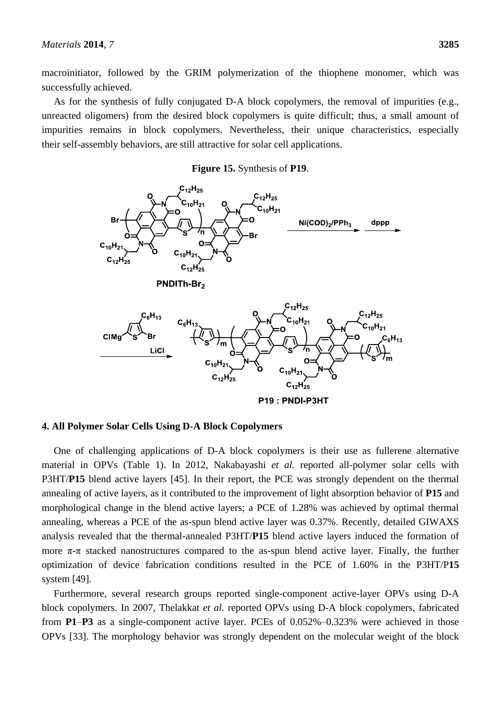macroinitiator, followed by the GRIM polymerization of the thiophene monomer, which was successfully achieved.

As for the synthesis of fully conjugated D-A block copolymers, the removal of impurities (e.g., unreacted oligomers) from the desired block copolymers is quite difficult; thus, a small amount of impurities remains in block copolymers. Nevertheless, their unique characteristics, especially their self-assembly behaviors, are still attractive for solar cell applications.

#### **Figure 15.** Synthesis of **P19**.



## **4. All Polymer Solar Cells Using D-A Block Copolymers**

One of challenging applications of D-A block copolymers is their use as fullerene alternative material in OPVs (Table 1). In 2012, Nakabayashi *et al.* reported all-polymer solar cells with P3HT/**P15** blend active layers [45]. In their report, the PCE was strongly dependent on the thermal annealing of active layers, as it contributed to the improvement of light absorption behavior of **P15** and morphological change in the blend active layers; a PCE of 1.28% was achieved by optimal thermal annealing, whereas a PCE of the as-spun blend active layer was 0.37%. Recently, detailed GIWAXS analysis revealed that the thermal-annealed P3HT/**P15** blend active layers induced the formation of more  $\pi$ -π stacked nanostructures compared to the as-spun blend active layer. Finally, the further optimization of device fabrication conditions resulted in the PCE of 1.60% in the P3HT/P**15** system [49].

Furthermore, several research groups reported single-component active-layer OPVs using D-A block copolymers. In 2007, Thelakkat *et al.* reported OPVs using D-A block copolymers, fabricated from **P1**–**P3** as a single-component active layer. PCEs of 0.052%–0.323% were achieved in those OPVs [33]. The morphology behavior was strongly dependent on the molecular weight of the block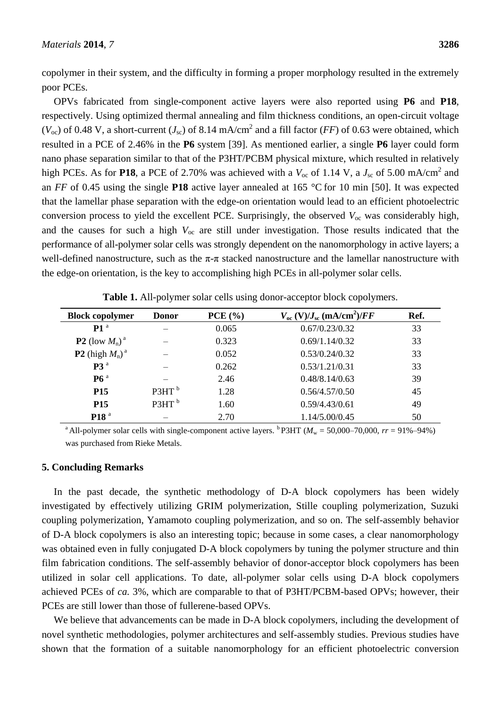copolymer in their system, and the difficulty in forming a proper morphology resulted in the extremely poor PCEs.

OPVs fabricated from single-component active layers were also reported using **P6** and **P18**, respectively. Using optimized thermal annealing and film thickness conditions, an open-circuit voltage  $(V_{\text{oc}})$  of 0.48 V, a short-current  $(J_{\text{sc}})$  of 8.14 mA/cm<sup>2</sup> and a fill factor (*FF*) of 0.63 were obtained, which resulted in a PCE of 2.46% in the **P6** system [39]. As mentioned earlier, a single **P6** layer could form nano phase separation similar to that of the P3HT/PCBM physical mixture, which resulted in relatively high PCEs. As for **P18**, a PCE of 2.70% was achieved with a  $V_{\text{oc}}$  of 1.14 V, a  $J_{\text{sc}}$  of 5.00 mA/cm<sup>2</sup> and an *FF* of 0.45 using the single **P18** active layer annealed at 165 °C for 10 min [50]. It was expected that the lamellar phase separation with the edge-on orientation would lead to an efficient photoelectric conversion process to yield the excellent PCE. Surprisingly, the observed  $V_{\text{oc}}$  was considerably high, and the causes for such a high *V*oc are still under investigation. Those results indicated that the performance of all-polymer solar cells was strongly dependent on the nanomorphology in active layers; a well-defined nanostructure, such as the  $\pi$ - $\pi$  stacked nanostructure and the lamellar nanostructure with the edge-on orientation, is the key to accomplishing high PCEs in all-polymer solar cells.

| <b>Block copolymer</b>               | <b>Donor</b>      | PCE(%) | $V_{\text{oc}}$ (V)/ $J_{\text{sc}}$ (mA/cm <sup>2</sup> )/FF | Ref. |
|--------------------------------------|-------------------|--------|---------------------------------------------------------------|------|
| P1 <sup>a</sup>                      |                   | 0.065  | 0.67/0.23/0.32                                                | 33   |
| <b>P2</b> (low $M_n$ ) <sup>a</sup>  |                   | 0.323  | 0.69/1.14/0.32                                                | 33   |
| <b>P2</b> (high $M_n$ ) <sup>a</sup> |                   | 0.052  | 0.53/0.24/0.32                                                | 33   |
| P3 <sup>a</sup>                      |                   | 0.262  | 0.53/1.21/0.31                                                | 33   |
| P6 <sup>a</sup>                      |                   | 2.46   | 0.48/8.14/0.63                                                | 39   |
| <b>P15</b>                           | P3HT <sup>b</sup> | 1.28   | 0.56/4.57/0.50                                                | 45   |
| <b>P15</b>                           | P3HT <sup>b</sup> | 1.60   | 0.59/4.43/0.61                                                | 49   |
| P <sub>18</sub> <sup>a</sup>         |                   | 2.70   | 1.14/5.00/0.45                                                | 50   |

**Table 1.** All-polymer solar cells using donor-acceptor block copolymers.

<sup>a</sup> All-polymer solar cells with single-component active layers. <sup>b</sup>P3HT ( $M_w = 50,000-70,000$ ,  $rr = 91\% - 94\%$ ) was purchased from Rieke Metals.

### **5. Concluding Remarks**

In the past decade, the synthetic methodology of D-A block copolymers has been widely investigated by effectively utilizing GRIM polymerization, Stille coupling polymerization, Suzuki coupling polymerization, Yamamoto coupling polymerization, and so on. The self-assembly behavior of D-A block copolymers is also an interesting topic; because in some cases, a clear nanomorphology was obtained even in fully conjugated D-A block copolymers by tuning the polymer structure and thin film fabrication conditions. The self-assembly behavior of donor-acceptor block copolymers has been utilized in solar cell applications. To date, all-polymer solar cells using D-A block copolymers achieved PCEs of *ca.* 3%, which are comparable to that of P3HT/PCBM-based OPVs; however, their PCEs are still lower than those of fullerene-based OPVs.

We believe that advancements can be made in D-A block copolymers, including the development of novel synthetic methodologies, polymer architectures and self-assembly studies. Previous studies have shown that the formation of a suitable nanomorphology for an efficient photoelectric conversion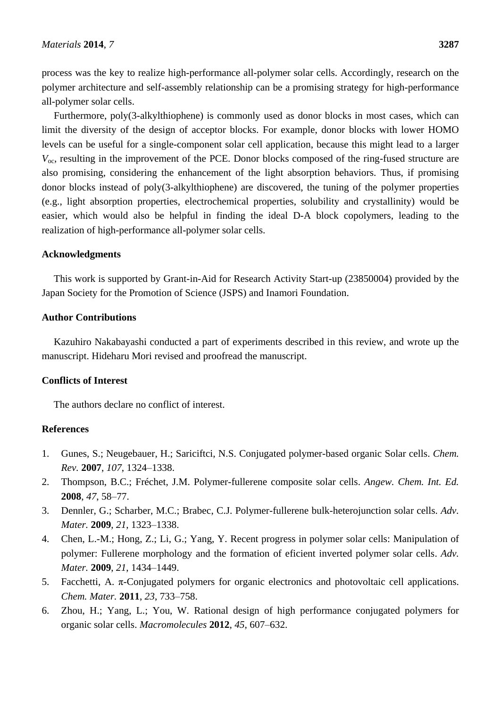process was the key to realize high-performance all-polymer solar cells. Accordingly, research on the polymer architecture and self-assembly relationship can be a promising strategy for high-performance all-polymer solar cells.

Furthermore, poly(3-alkylthiophene) is commonly used as donor blocks in most cases, which can limit the diversity of the design of acceptor blocks. For example, donor blocks with lower HOMO levels can be useful for a single-component solar cell application, because this might lead to a larger  $V_{\text{oc}}$ , resulting in the improvement of the PCE. Donor blocks composed of the ring-fused structure are also promising, considering the enhancement of the light absorption behaviors. Thus, if promising donor blocks instead of poly(3-alkylthiophene) are discovered, the tuning of the polymer properties (e.g., light absorption properties, electrochemical properties, solubility and crystallinity) would be easier, which would also be helpful in finding the ideal D-A block copolymers, leading to the realization of high-performance all-polymer solar cells.

# **Acknowledgments**

This work is supported by Grant-in-Aid for Research Activity Start-up (23850004) provided by the Japan Society for the Promotion of Science (JSPS) and Inamori Foundation.

# **Author Contributions**

Kazuhiro Nakabayashi conducted a part of experiments described in this review, and wrote up the manuscript. Hideharu Mori revised and proofread the manuscript.

# **Conflicts of Interest**

The authors declare no conflict of interest.

# **References**

- 1. Gunes, S.; Neugebauer, H.; Sariciftci, N.S. Conjugated polymer-based organic Solar cells. *Chem. Rev.* **2007**, *107*, 1324–1338.
- 2. Thompson, B.C.; Fréchet, J.M. Polymer-fullerene composite solar cells. *Angew. Chem. Int. Ed.* **2008**, *47*, 58–77.
- 3. Dennler, G.; Scharber, M.C.; Brabec, C.J. Polymer-fullerene bulk-heterojunction solar cells. *Adv. Mater.* **2009**, *21*, 1323–1338.
- 4. Chen, L.-M.; Hong, Z.; Li, G.; Yang, Y. Recent progress in polymer solar cells: Manipulation of polymer: Fullerene morphology and the formation of eficient inverted polymer solar cells. *Adv. Mater.* **2009**, *21*, 1434–1449.
- 5. Facchetti, A. π-Conjugated polymers for organic electronics and photovoltaic cell applications. *Chem. Mater.* **2011**, *23*, 733–758.
- 6. Zhou, H.; Yang, L.; You, W. Rational design of high performance conjugated polymers for organic solar cells. *Macromolecules* **2012**, *45*, 607–632.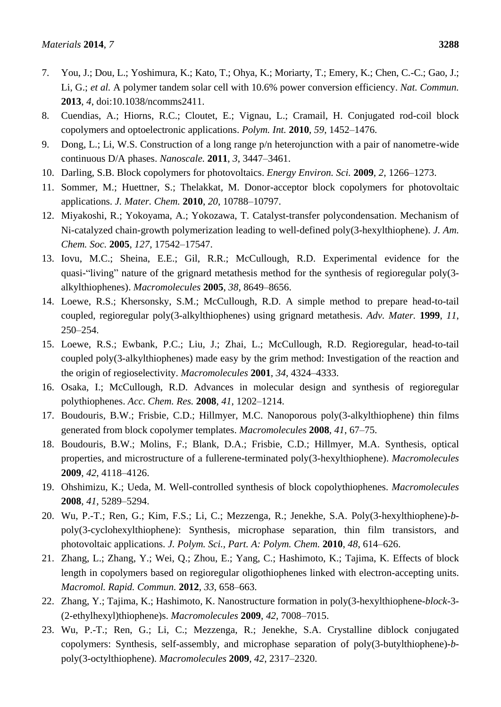- 7. You, J.; Dou, L.; Yoshimura, K.; Kato, T.; Ohya, K.; Moriarty, T.; Emery, K.; Chen, C.-C.; Gao, J.; Li, G.; *et al.* A polymer tandem solar cell with 10.6% power conversion efficiency. *Nat. Commun.* **2013**, *4*, doi:10.1038/ncomms2411.
- 8. Cuendias, A.; Hiorns, R.C.; Cloutet, E.; Vignau, L.; Cramail, H. Conjugated rod-coil block copolymers and optoelectronic applications. *Polym. Int.* **2010**, *59*, 1452–1476.
- 9. Dong, L.; Li, W.S. Construction of a long range p/n heterojunction with a pair of nanometre-wide continuous D/A phases. *Nanoscale.* **2011**, *3*, 3447–3461.
- 10. Darling, S.B. Block copolymers for photovoltaics. *Energy Environ. Sci.* **2009**, *2*, 1266–1273.
- 11. Sommer, M.; Huettner, S.; Thelakkat, M. Donor-acceptor block copolymers for photovoltaic applications. *J. Mater. Chem.* **2010**, *20*, 10788–10797.
- 12. Miyakoshi, R.; Yokoyama, A.; Yokozawa, T. Catalyst-transfer polycondensation. Mechanism of Ni-catalyzed chain-growth polymerization leading to well-defined poly(3-hexylthiophene). *J. Am. Chem. Soc.* **2005**, *127*, 17542–17547.
- 13. Iovu, M.C.; Sheina, E.E.; Gil, R.R.; McCullough, R.D. Experimental evidence for the quasi-"living" nature of the grignard metathesis method for the synthesis of regioregular poly(3 alkylthiophenes). *Macromolecules* **2005**, *38*, 8649–8656.
- 14. Loewe, R.S.; Khersonsky, S.M.; McCullough, R.D. A simple method to prepare head-to-tail coupled, regioregular poly(3-alkylthiophenes) using grignard metathesis. *Adv. Mater.* **1999**, *11*, 250–254.
- 15. Loewe, R.S.; Ewbank, P.C.; Liu, J.; Zhai, L.; McCullough, R.D. Regioregular, head-to-tail coupled poly(3-alkylthiophenes) made easy by the grim method: Investigation of the reaction and the origin of regioselectivity. *Macromolecules* **2001**, *34*, 4324–4333.
- 16. Osaka, I.; McCullough, R.D. Advances in molecular design and synthesis of regioregular polythiophenes. *Acc. Chem. Res.* **2008**, *41*, 1202–1214.
- 17. Boudouris, B.W.; Frisbie, C.D.; Hillmyer, M.C. Nanoporous poly(3-alkylthiophene) thin films generated from block copolymer templates. *Macromolecules* **2008**, *41*, 67–75.
- 18. Boudouris, B.W.; Molins, F.; Blank, D.A.; Frisbie, C.D.; Hillmyer, M.A. Synthesis, optical properties, and microstructure of a fullerene-terminated poly(3-hexylthiophene). *Macromolecules* **2009**, *42*, 4118–4126.
- 19. Ohshimizu, K.; Ueda, M. Well-controlled synthesis of block copolythiophenes. *Macromolecules* **2008**, *41*, 5289–5294.
- 20. Wu, P.-T.; Ren, G.; Kim, F.S.; Li, C.; Mezzenga, R.; Jenekhe, S.A. Poly(3-hexylthiophene)-*b*poly(3-cyclohexylthiophene): Synthesis, microphase separation, thin film transistors, and photovoltaic applications. *J. Polym. Sci., Part. A: Polym. Chem.* **2010**, *48*, 614–626.
- 21. Zhang, L.; Zhang, Y.; Wei, Q.; Zhou, E.; Yang, C.; Hashimoto, K.; Tajima, K. Effects of block length in copolymers based on regioregular oligothiophenes linked with electron-accepting units. *Macromol. Rapid. Commun.* **2012**, *33*, 658–663.
- 22. Zhang, Y.; Tajima, K.; Hashimoto, K. Nanostructure formation in poly(3-hexylthiophene-*block*-3- (2-ethylhexyl)thiophene)s. *Macromolecules* **2009**, *42*, 7008–7015.
- 23. Wu, P.-T.; Ren, G.; Li, C.; Mezzenga, R.; Jenekhe, S.A. Crystalline diblock conjugated copolymers: Synthesis, self-assembly, and microphase separation of poly(3-butylthiophene)-*b*poly(3-octylthiophene). *Macromolecules* **2009**, *42*, 2317–2320.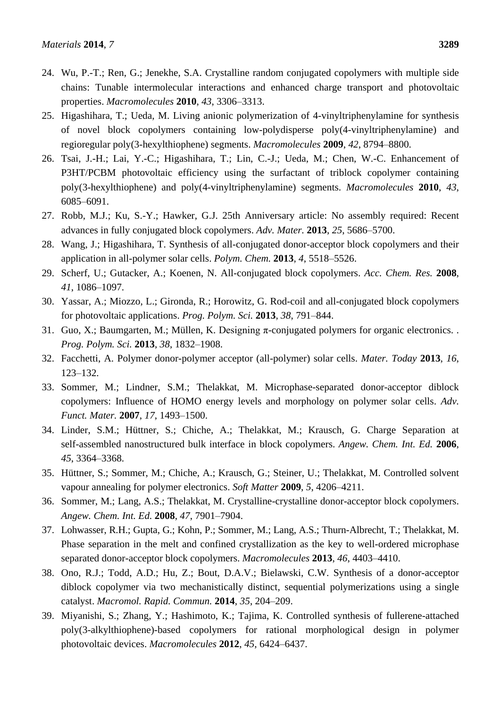- 24. Wu, P.-T.; Ren, G.; Jenekhe, S.A. Crystalline random conjugated copolymers with multiple side chains: Tunable intermolecular interactions and enhanced charge transport and photovoltaic properties. *Macromolecules* **2010**, *43*, 3306–3313.
- 25. Higashihara, T.; Ueda, M. Living anionic polymerization of 4-vinyltriphenylamine for synthesis of novel block copolymers containing low-polydisperse poly(4-vinyltriphenylamine) and regioregular poly(3-hexylthiophene) segments. *Macromolecules* **2009**, *42*, 8794–8800.
- 26. Tsai, J.-H.; Lai, Y.-C.; Higashihara, T.; Lin, C.-J.; Ueda, M.; Chen, W.-C. Enhancement of P3HT/PCBM photovoltaic efficiency using the surfactant of triblock copolymer containing poly(3-hexylthiophene) and poly(4-vinyltriphenylamine) segments. *Macromolecules* **2010**, *43*, 6085–6091.
- 27. Robb, M.J.; Ku, S.-Y.; Hawker, G.J. 25th Anniversary article: No assembly required: Recent advances in fully conjugated block copolymers. *Adv. Mater.* **2013**, *25*, 5686–5700.
- 28. Wang, J.; Higashihara, T. Synthesis of all-conjugated donor-acceptor block copolymers and their application in all-polymer solar cells. *Polym. Chem.* **2013**, *4*, 5518–5526.
- 29. Scherf, U.; Gutacker, A.; Koenen, N. All-conjugated block copolymers. *Acc. Chem. Res.* **2008**, *41*, 1086–1097.
- 30. Yassar, A.; Miozzo, L.; Gironda, R.; Horowitz, G. Rod-coil and all-conjugated block copolymers for photovoltaic applications. *Prog. Polym. Sci.* **2013**, *38*, 791–844.
- 31. Guo, X.; Baumgarten, M.; Müllen, K. Designing  $\pi$ -conjugated polymers for organic electronics. . *Prog. Polym. Sci.* **2013**, *38*, 1832–1908.
- 32. Facchetti, A. Polymer donor-polymer acceptor (all-polymer) solar cells. *Mater. Today* **2013**, *16*, 123–132.
- 33. Sommer, M.; Lindner, S.M.; Thelakkat, M. Microphase-separated donor-acceptor diblock copolymers: Influence of HOMO energy levels and morphology on polymer solar cells. *Adv. Funct. Mater.* **2007**, *17*, 1493–1500.
- 34. Linder, S.M.; Hüttner, S.; Chiche, A.; Thelakkat, M.; Krausch, G. Charge Separation at self-assembled nanostructured bulk interface in block copolymers. *Angew. Chem. Int. Ed.* **2006**, *45*, 3364–3368.
- 35. Hüttner, S.; Sommer, M.; Chiche, A.; Krausch, G.; Steiner, U.; Thelakkat, M. Controlled solvent vapour annealing for polymer electronics. *Soft Matter* **2009**, *5*, 4206–4211.
- 36. Sommer, M.; Lang, A.S.; Thelakkat, M. Crystalline-crystalline donor-acceptor block copolymers. *Angew. Chem. Int. Ed.* **2008**, *47*, 7901–7904.
- 37. Lohwasser, R.H.; Gupta, G.; Kohn, P.; Sommer, M.; Lang, A.S.; Thurn-Albrecht, T.; Thelakkat, M. Phase separation in the melt and confined crystallization as the key to well-ordered microphase separated donor-acceptor block copolymers. *Macromolecules* **2013**, *46*, 4403–4410.
- 38. Ono, R.J.; Todd, A.D.; Hu, Z.; Bout, D.A.V.; Bielawski, C.W. Synthesis of a donor-acceptor diblock copolymer via two mechanistically distinct, sequential polymerizations using a single catalyst. *Macromol. Rapid. Commun.* **2014**, *35*, 204–209.
- 39. Miyanishi, S.; Zhang, Y.; Hashimoto, K.; Tajima, K. Controlled synthesis of fullerene-attached poly(3-alkylthiophene)-based copolymers for rational morphological design in polymer photovoltaic devices. *Macromolecules* **2012**, *45*, 6424–6437.